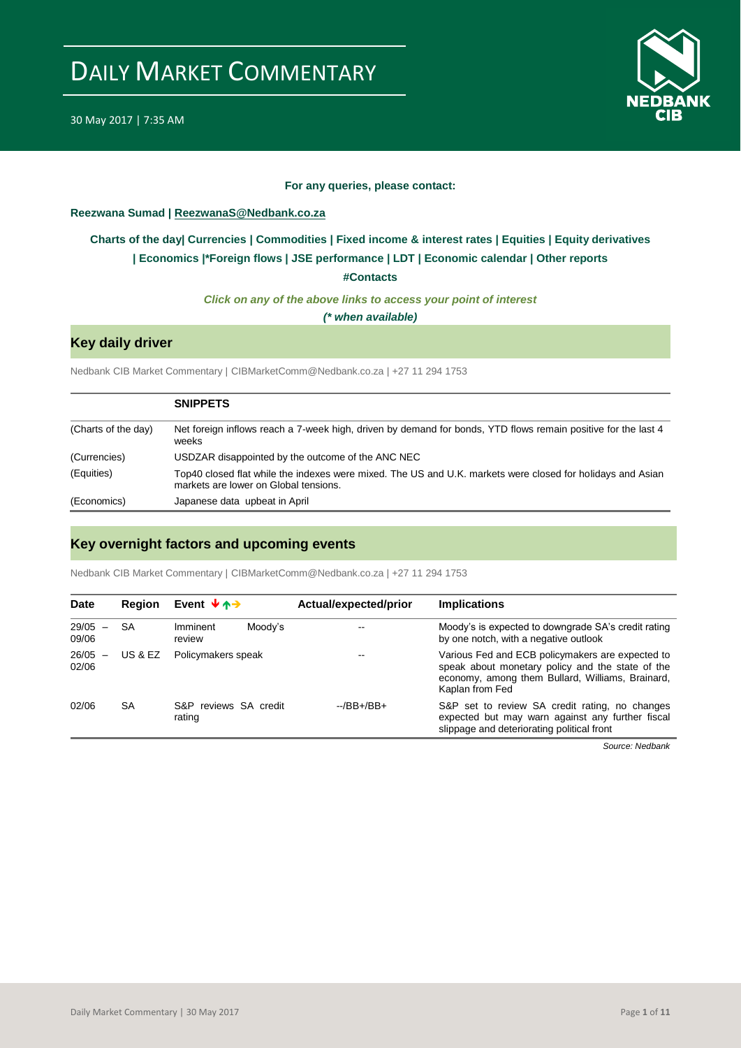

### **For any queries, please contact:**

### <span id="page-0-0"></span>**Reezwana Sumad | ReezwanaS@Nedbank.co.za**

## **[Charts of the day|](#page-1-0) [Currencies](#page-2-0) [| Commodities](#page-3-0) | [Fixed income &](#page-4-0) interest rates | [Equities](#page-5-0) | Equity derivatives | [Economics](#page-6-0) |\*Foreign flows | [JSE performance](#page-7-0) | [LDT](#page-8-0) | [Economic calendar](#page-8-1) | Other reports**

**[#Contacts](#page-9-0)**

*Click on any of the above links to access your point of interest*

*(\* when available)*

## **Key daily driver**

Nedbank CIB Market Commentary | CIBMarketComm@Nedbank.co.za | +27 11 294 1753

|                     | <b>SNIPPETS</b>                                                                                                                                     |
|---------------------|-----------------------------------------------------------------------------------------------------------------------------------------------------|
| (Charts of the day) | Net foreign inflows reach a 7-week high, driven by demand for bonds, YTD flows remain positive for the last 4<br>weeks                              |
| (Currencies)        | USDZAR disappointed by the outcome of the ANC NEC                                                                                                   |
| (Equities)          | Top40 closed flat while the indexes were mixed. The US and U.K. markets were closed for holidays and Asian<br>markets are lower on Global tensions. |
| (Economics)         | Japanese data upbeat in April                                                                                                                       |

## **Key overnight factors and upcoming events**

Nedbank CIB Market Commentary | CIBMarketComm@Nedbank.co.za | +27 11 294 1753

| <b>Date</b>        | Reaion    | Event $\forall$ $\land \rightarrow$ | Actual/expected/prior | <b>Implications</b>                                                                                                                                                         |
|--------------------|-----------|-------------------------------------|-----------------------|-----------------------------------------------------------------------------------------------------------------------------------------------------------------------------|
| $29/05 -$<br>09/06 | SA        | Imminent<br>Moody's<br>review       |                       | Moody's is expected to downgrade SA's credit rating<br>by one notch, with a negative outlook                                                                                |
| $26/05 -$<br>02/06 | US & EZ   | Policymakers speak                  |                       | Various Fed and ECB policymakers are expected to<br>speak about monetary policy and the state of the<br>economy, among them Bullard, Williams, Brainard,<br>Kaplan from Fed |
| 02/06              | <b>SA</b> | S&P reviews SA credit<br>rating     | $-$ /BB $+$ /BB $+$   | S&P set to review SA credit rating, no changes<br>expected but may warn against any further fiscal<br>slippage and deteriorating political front                            |

*Source: Nedbank*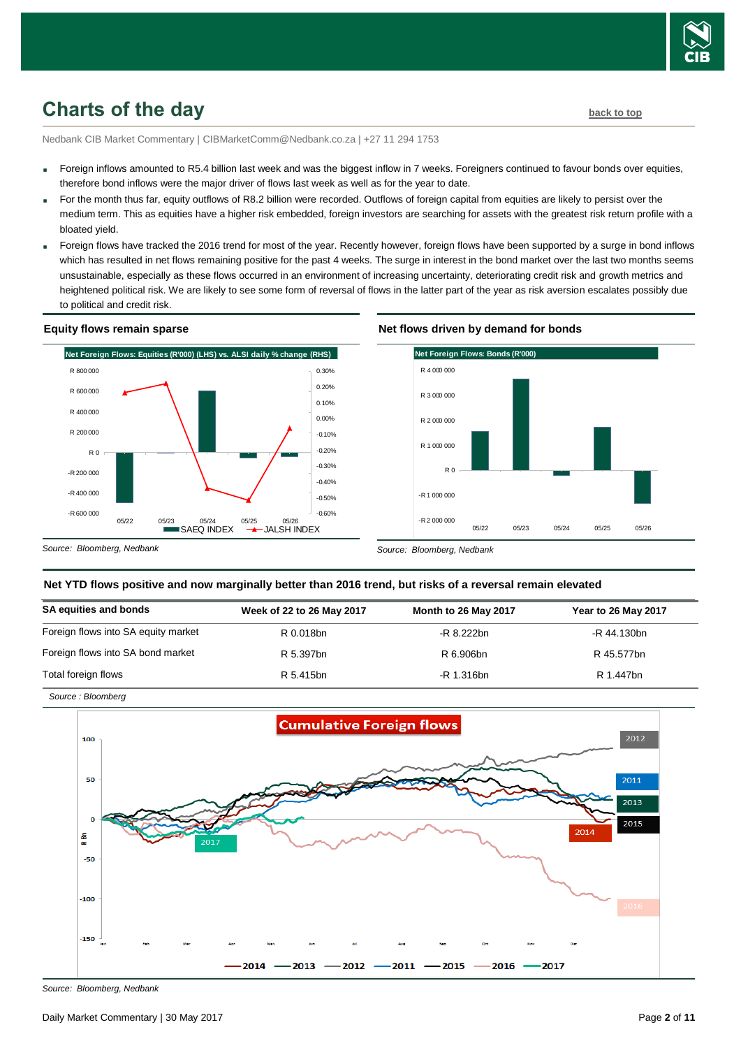

## <span id="page-1-0"></span>**Charts of the day [back to top](#page-0-0)**

Nedbank CIB Market Commentary | CIBMarketComm@Nedbank.co.za | +27 11 294 1753

- Foreign inflows amounted to R5.4 billion last week and was the biggest inflow in 7 weeks. Foreigners continued to favour bonds over equities, therefore bond inflows were the major driver of flows last week as well as for the year to date.
- For the month thus far, equity outflows of R8.2 billion were recorded. Outflows of foreign capital from equities are likely to persist over the medium term. This as equities have a higher risk embedded, foreign investors are searching for assets with the greatest risk return profile with a bloated yield.
- Foreign flows have tracked the 2016 trend for most of the year. Recently however, foreign flows have been supported by a surge in bond inflows which has resulted in net flows remaining positive for the past 4 weeks. The surge in interest in the bond market over the last two months seems unsustainable, especially as these flows occurred in an environment of increasing uncertainty, deteriorating credit risk and growth metrics and heightened political risk. We are likely to see some form of reversal of flows in the latter part of the year as risk aversion escalates possibly due to political and credit risk.

### **Equity flows remain sparse**



### **Net flows driven by demand for bonds**



*Source: Bloomberg, Nedbank*

*Source : Bloomberg*

*Source: Bloomberg, Nedbank*

## **Net YTD flows positive and now marginally better than 2016 trend, but risks of a reversal remain elevated**

| <b>SA equities and bonds</b>        | Week of 22 to 26 May 2017 | Month to 26 May 2017 | <b>Year to 26 May 2017</b> |
|-------------------------------------|---------------------------|----------------------|----------------------------|
| Foreign flows into SA equity market | R 0.018bn                 | -R 8.222bn           | -R 44.130bn                |
| Foreign flows into SA bond market   | R 5.397bn                 | R 6.906bn            | R 45.577bn                 |
| Total foreign flows                 | R 5.415bn                 | -R 1.316bn           | R 1.447bn                  |



*Source: Bloomberg, Nedbank*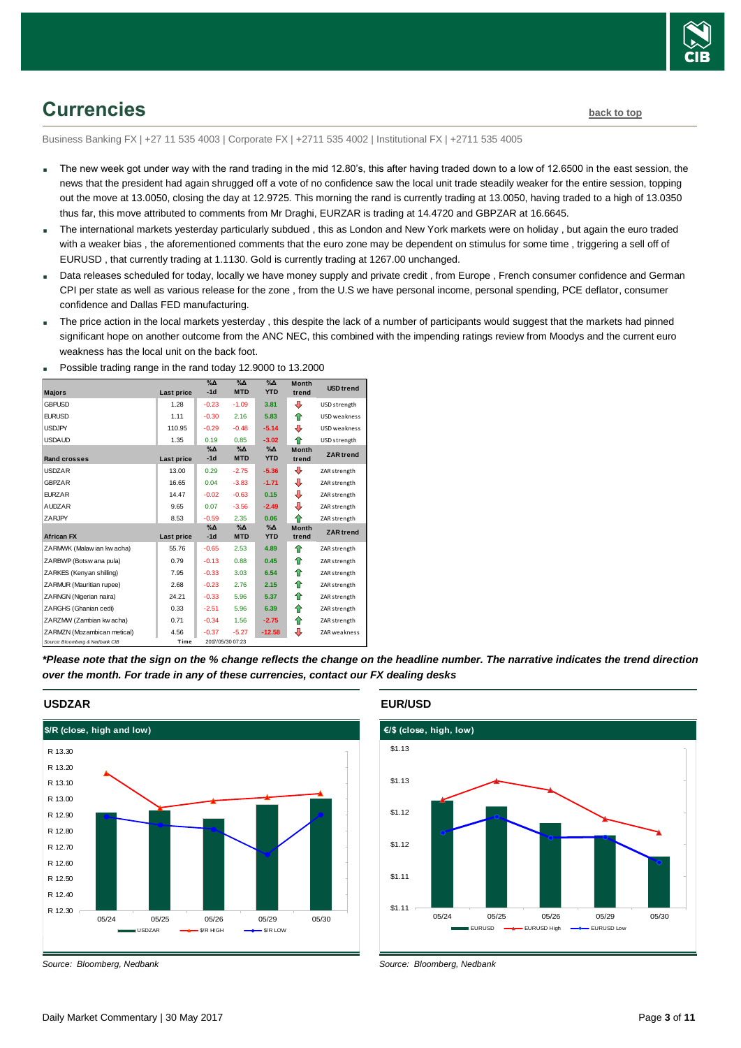

# <span id="page-2-0"></span>**Currencies [back to top](#page-0-0)**

Business Banking FX | +27 11 535 4003 | Corporate FX | +2711 535 4002 | Institutional FX | +2711 535 4005

- The new week got under way with the rand trading in the mid 12.80's, this after having traded down to a low of 12.6500 in the east session, the news that the president had again shrugged off a vote of no confidence saw the local unit trade steadily weaker for the entire session, topping out the move at 13.0050, closing the day at 12.9725. This morning the rand is currently trading at 13.0050, having traded to a high of 13.0350 thus far, this move attributed to comments from Mr Draghi, EURZAR is trading at 14.4720 and GBPZAR at 16.6645.
- The international markets yesterday particularly subdued, this as London and New York markets were on holiday, but again the euro traded with a weaker bias , the aforementioned comments that the euro zone may be dependent on stimulus for some time , triggering a sell off of EURUSD , that currently trading at 1.1130. Gold is currently trading at 1267.00 unchanged.
- Data releases scheduled for today, locally we have money supply and private credit , from Europe , French consumer confidence and German CPI per state as well as various release for the zone , from the U.S we have personal income, personal spending, PCE deflator, consumer confidence and Dallas FED manufacturing.
- The price action in the local markets yesterday, this despite the lack of a number of participants would suggest that the markets had pinned significant hope on another outcome from the ANC NEC, this combined with the impending ratings review from Moodys and the current euro weakness has the local unit on the back foot.

| <b>Majors</b>                   | Last price | $\%$ $\Delta$<br>$-1d$ | $\Delta_0$<br><b>MTD</b> | $\%$ $\Delta$<br><b>YTD</b> | <b>Month</b><br>trend | <b>USD</b> trend    |
|---------------------------------|------------|------------------------|--------------------------|-----------------------------|-----------------------|---------------------|
|                                 |            |                        |                          |                             |                       |                     |
| <b>GBPUSD</b>                   | 1.28       | $-0.23$                | $-1.09$                  | 3.81                        | ⊕                     | USD strength        |
| <b>EURUSD</b>                   | 1.11       | $-0.30$                | 2.16                     | 5.83                        | ⇑                     | USD weakness        |
| <b>USDJPY</b>                   | 110.95     | $-0.29$                | $-0.48$                  | $-5.14$                     | ⊕                     | <b>USD</b> weakness |
| <b>USDAUD</b>                   | 1.35       | 0.19                   | 0.85                     | $-3.02$                     | ⇑                     | USD strength        |
|                                 |            | $\%$ $\Delta$          | $\%$ $\Delta$            | $\%$ $\Delta$               | <b>Month</b>          | <b>ZAR</b> trend    |
| <b>Rand crosses</b>             | Last price | $-1d$                  | <b>MTD</b>               | <b>YTD</b>                  | trend                 |                     |
| <b>USDZAR</b>                   | 13.00      | 0.29                   | $-2.75$                  | $-5.36$                     | ⊕                     | ZAR strength        |
| <b>GBPZAR</b>                   | 16.65      | 0.04                   | $-3.83$                  | $-1.71$                     | ⊕                     | ZAR strength        |
| <b>EURZAR</b>                   | 14.47      | $-0.02$                | $-0.63$                  | 0.15                        | ⊕                     | ZAR strength        |
| AUDZAR                          | 9.65       | 0.07                   | $-3.56$                  | $-2.49$                     | ⊕                     | ZAR strength        |
| ZARJPY                          | 8.53       | $-0.59$                | 2.35                     | 0.06                        | ♠                     | ZAR strength        |
|                                 |            | $\%$ $\Delta$          | $% \Delta$               | $\%$ $\Delta$               | <b>Month</b>          |                     |
| <b>African FX</b>               | Last price | $-1d$                  | <b>MTD</b>               | <b>YTD</b>                  | trend                 | <b>ZAR</b> trend    |
| ZARMWK (Malaw ian kw acha)      | 55.76      | $-0.65$                | 2.53                     | 4.89                        | ♠                     | ZAR strength        |
| ZARBWP (Botsw ana pula)         | 0.79       | $-0.13$                | 0.88                     | 0.45                        | ⇑                     | ZAR strength        |
| ZARKES (Kenyan shilling)        | 7.95       | $-0.33$                | 3.03                     | 6.54                        | ♠                     | ZAR strength        |
| ZARMUR (Mauritian rupee)        | 2.68       | $-0.23$                | 2.76                     | 2.15                        | ⇑                     | ZAR strength        |
| ZARNGN (Nigerian naira)         | 24.21      | $-0.33$                | 5.96                     | 5.37                        | ⇑                     | ZAR strength        |
| ZARGHS (Ghanian cedi)           | 0.33       | $-2.51$                | 5.96                     | 6.39                        | ⇑                     | ZAR strength        |
| ZARZMW (Zambian kw acha)        | 0.71       | $-0.34$                | 1.56                     | $-2.75$                     | ⇑                     | ZAR strength        |
| ZARMZN (Mozambican metical)     | 4.56       | $-0.37$                | $-5.27$                  | $-12.58$                    | ⊕                     | ZAR weakness        |
| Source: Bloomberg & Nedbank CIB | Time       |                        | 2017/05/30 07:23         |                             |                       |                     |

Possible trading range in the rand today 12.9000 to 13.2000

*\*Please note that the sign on the % change reflects the change on the headline number. The narrative indicates the trend direction over the month. For trade in any of these currencies, contact our FX dealing desks*



**USDZAR**



*Source: Bloomberg, Nedbank*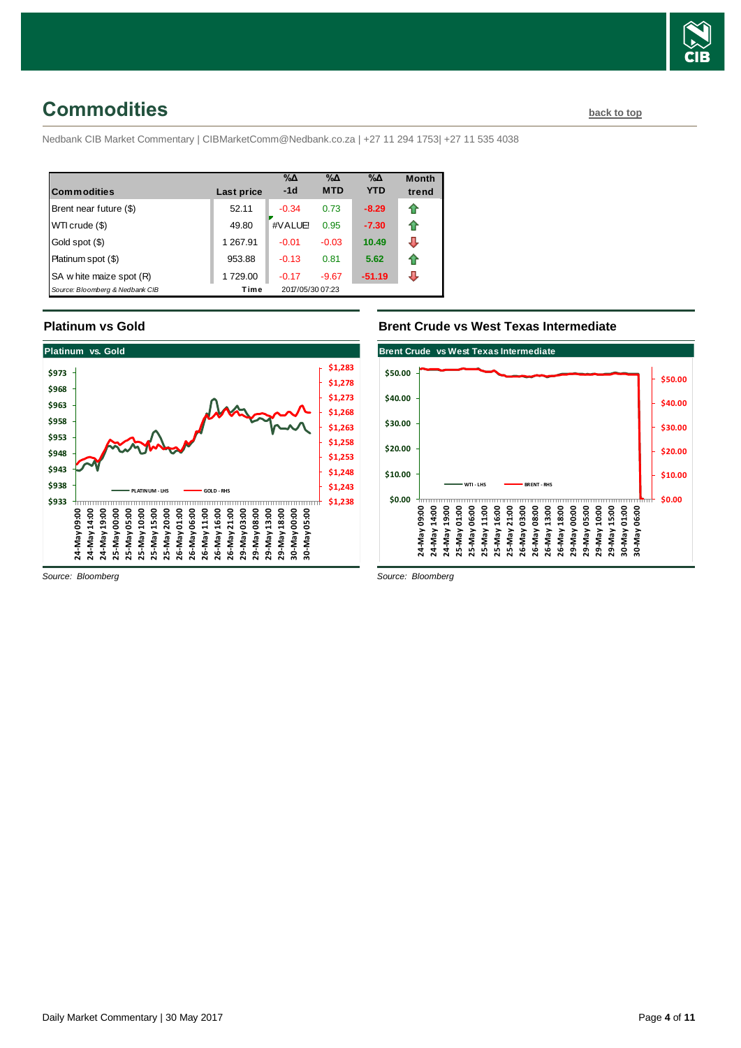

## <span id="page-3-0"></span>**Commodities [back to top](#page-0-0)**

Nedbank CIB Market Commentary | CIBMarketComm@Nedbank.co.za | +27 11 294 1753| +27 11 535 4038

| <b>Commodities</b>              | Last price | $\% \Delta$<br>$-1d$ | $\% \Delta$<br><b>MTD</b> | %Δ<br><b>YTD</b> | <b>Month</b><br>trend |
|---------------------------------|------------|----------------------|---------------------------|------------------|-----------------------|
| Brent near future (\$)          | 52.11      | $-0.34$              | 0.73                      | $-8.29$          |                       |
| WTI crude (\$)                  | 49.80      | #VALUE!              | 0.95                      | $-7.30$          |                       |
| Gold spot (\$)                  | 1 267.91   | $-0.01$              | $-0.03$                   | 10.49            |                       |
| Platinum spot (\$)              | 953.88     | $-0.13$              | 0.81                      | 5.62             |                       |
| SA w hite maize spot (R)        | 1729.00    | $-0.17$              | $-9.67$                   | $-51.19$         |                       |
| Source: Bloomberg & Nedbank CIB | Time       | 2017/05/30 07:23     |                           |                  |                       |

### **Platinum vs Gold**



### **Brent Crude vs West Texas Intermediate**



*Source: Bloomberg*

*Source: Bloomberg*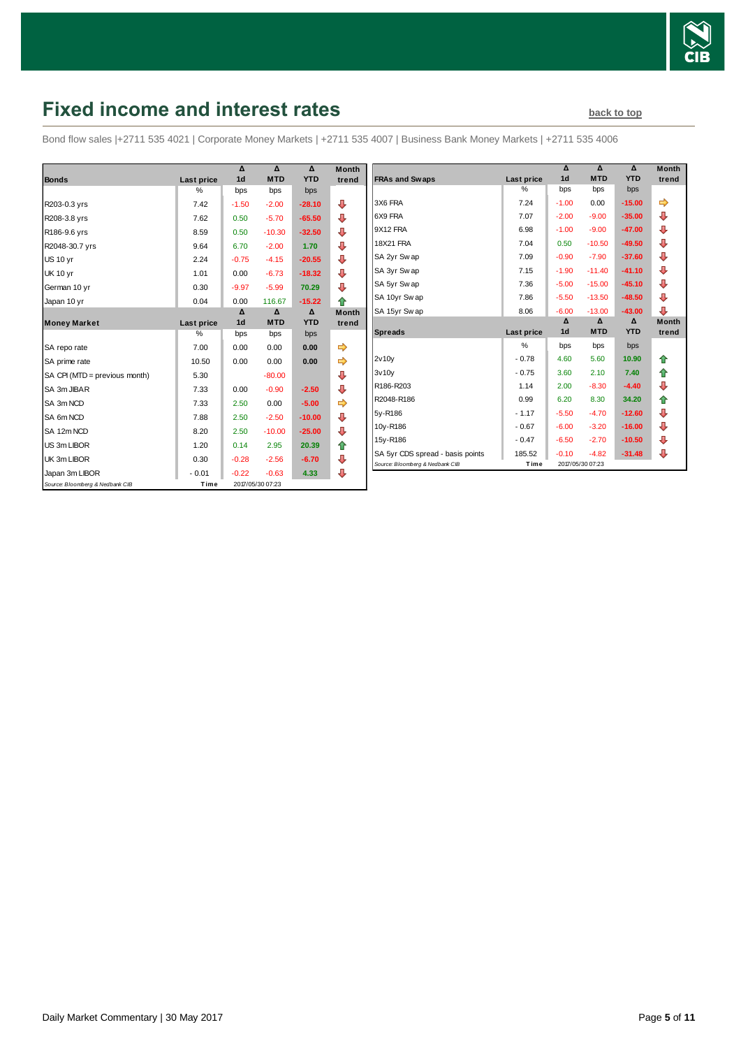

# <span id="page-4-0"></span>**Fixed income and interest rates back to the [back to top](#page-0-0)**

Bond flow sales |+2711 535 4021 | Corporate Money Markets | +2711 535 4007 | Business Bank Money Markets | +2711 535 4006

|                                 |               | Δ              | Δ                | Δ          | <b>Month</b> |
|---------------------------------|---------------|----------------|------------------|------------|--------------|
| <b>Bonds</b>                    | Last price    | 1 <sub>d</sub> | <b>MTD</b>       | <b>YTD</b> | trend        |
|                                 | $\frac{0}{0}$ | bps            | bps              | bps        |              |
| R203-0.3 yrs                    | 7.42          | $-1.50$        | $-2.00$          | $-28.10$   | ⊕            |
| R208-3.8 yrs                    | 7.62          | 0.50           | $-5.70$          | $-65.50$   | ⊕            |
| R186-9.6 yrs                    | 8.59          | 0.50           | $-10.30$         | $-32.50$   | ⊕            |
| R2048-30.7 yrs                  | 9.64          | 6.70           | $-2.00$          | 1.70       | ⊕            |
| <b>US 10 yr</b>                 | 2.24          | $-0.75$        | $-4.15$          | $-20.55$   | ⊕            |
| <b>UK 10 yr</b>                 | 1.01          | 0.00           | $-6.73$          | $-18.32$   | ⇩            |
| German 10 yr                    | 0.30          | $-9.97$        | $-5.99$          | 70.29      | ⊕            |
| Japan 10 yr                     | 0.04          | 0.00           | 116.67           | $-15.22$   | ♠            |
|                                 |               | Δ              | Δ                | Δ          | <b>Month</b> |
| <b>Money Market</b>             | Last price    | 1 <sub>d</sub> | <b>MTD</b>       | <b>YTD</b> | trend        |
|                                 | $\%$          | bps            | bps              | bps        |              |
| SA repo rate                    | 7.00          | 0.00           | 0.00             | 0.00       | ➡            |
| SA prime rate                   | 10.50         | 0.00           | 0.00             | 0.00       | ➾            |
| SA CPI (MTD = previous month)   | 5.30          |                | $-80.00$         |            | ⊕            |
| SA 3m JIBAR                     | 7.33          | 0.00           | $-0.90$          | $-2.50$    | ⊕            |
| SA 3m NCD                       | 7.33          | 2.50           | 0.00             | $-5.00$    | ⇛            |
| SA 6m NCD                       | 7.88          | 2.50           | $-2.50$          | $-10.00$   | ⊕            |
| SA 12m NCD                      | 8.20          | 2.50           | $-10.00$         | $-25.00$   | ⊕            |
| US 3m LIBOR                     | 1.20          | 0.14           | 2.95             | 20.39      | ⇑            |
| UK 3m LIBOR                     | 0.30          | $-0.28$        | $-2.56$          | $-6.70$    | ⊕            |
| Japan 3m LIBOR                  | $-0.01$       | $-0.22$        | $-0.63$          | 4.33       | ⊕            |
| Source: Bloomberg & Nedbank CIB | Time          |                | 2017/05/30 07:23 |            |              |

| Month<br>trend | <b>FRAs and Swaps</b>            | <b>Last price</b> | Δ<br>1 <sub>d</sub> | Δ<br><b>MTD</b>        | Δ<br><b>YTD</b> | <b>Month</b><br>trend |
|----------------|----------------------------------|-------------------|---------------------|------------------------|-----------------|-----------------------|
|                |                                  | %                 | bps                 | bps                    | bps             |                       |
| ⊕              | 3X6 FRA                          | 7.24              | $-1.00$             | 0.00                   | $-15.00$        | ⇛                     |
| ⊕              | 6X9 FRA                          | 7.07              | $-2.00$             | $-9.00$                | $-35.00$        | ⊕                     |
| ⊕              | 9X12 FRA                         | 6.98              | $-1.00$             | $-9.00$                | $-47.00$        | ⊕                     |
| ⊕              | <b>18X21 FRA</b>                 | 7.04              | 0.50                | $-10.50$               | $-49.50$        | ⊕                     |
| ⊕              | SA 2yr Swap                      | 7.09              | $-0.90$             | $-7.90$                | $-37.60$        | ⊕                     |
| ⊕              | SA 3yr Swap                      | 7.15              | $-1.90$             | $-11.40$               | $-41.10$        | ⊕                     |
| ⊕              | SA 5yr Swap                      | 7.36              | $-5.00$             | $-15.00$               | $-45.10$        | ⇩                     |
| ♠              | SA 10yr Sw ap                    | 7.86              | $-5.50$             | $-13.50$               | $-48.50$        | ⊕                     |
| Month          | SA 15yr Sw ap                    | 8.06              | $-6.00$             | $-13.00$               | $-43.00$        | ⊕                     |
| trend          | <b>Spreads</b>                   | <b>Last price</b> | Δ<br>1 <sub>d</sub> | $\Delta$<br><b>MTD</b> | Δ<br><b>YTD</b> | <b>Month</b><br>trend |
|                |                                  | %                 | bps                 | bps                    | bps             |                       |
|                | 2v10v                            | $-0.78$           | 4.60                | 5.60                   | 10.90           | ♠                     |
| ⊕              | 3v10v                            | $-0.75$           | 3.60                | 2.10                   | 7.40            | ⇑                     |
| ⊕              | R186-R203                        | 1.14              | 2.00                | $-8.30$                | $-4.40$         | ⊕                     |
|                | R2048-R186                       | 0.99              | 6.20                | 8.30                   | 34.20           | ⇑                     |
|                |                                  |                   |                     |                        |                 |                       |
|                | 5y-R186                          | $-1.17$           | $-5.50$             | $-4.70$                | $-12.60$        | ₽                     |
| ⊕              | 10y-R186                         | $-0.67$           | $-6.00$             | $-3.20$                | $-16.00$        |                       |
| ⊕              | 15y-R186                         | $-0.47$           | $-6.50$             | $-2.70$                | $-10.50$        | ₽                     |
| ⇮<br>⊕         | SA 5yr CDS spread - basis points | 185.52            | $-0.10$             | $-4.82$                | $-31.48$        | ⇩<br>⇩                |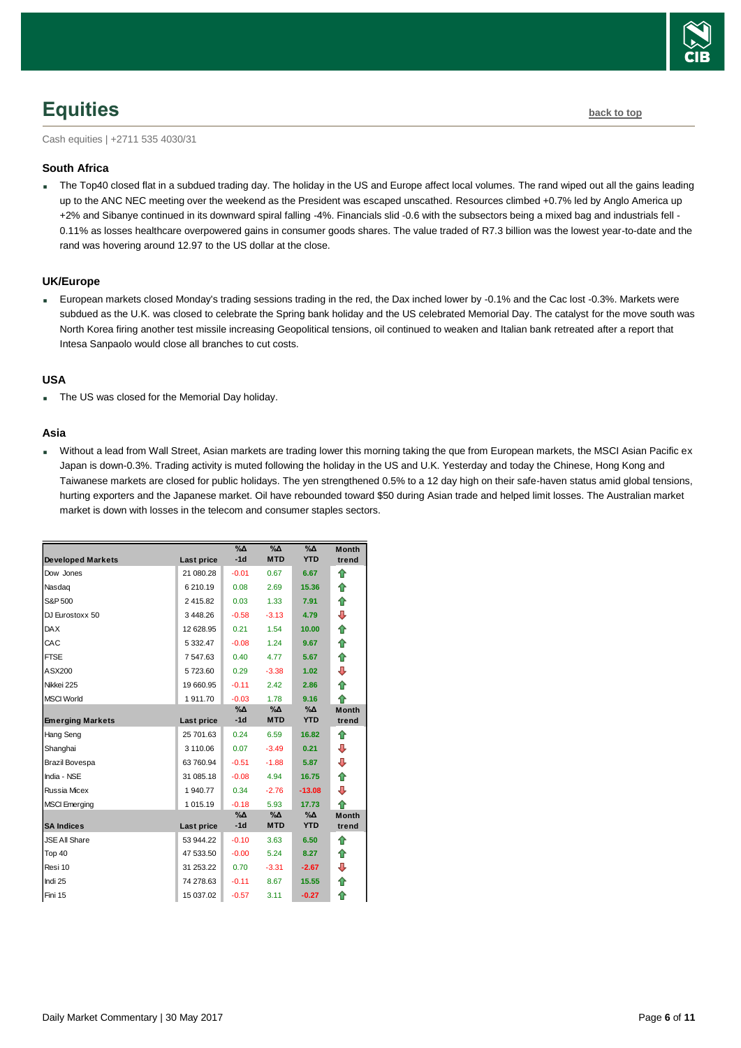<span id="page-5-0"></span>Cash equities | +2711 535 4030/31

### **South Africa**

The Top40 closed flat in a subdued trading day. The holiday in the US and Europe affect local volumes. The rand wiped out all the gains leading up to the ANC NEC meeting over the weekend as the President was escaped unscathed. Resources climbed +0.7% led by Anglo America up +2% and Sibanye continued in its downward spiral falling -4%. Financials slid -0.6 with the subsectors being a mixed bag and industrials fell - 0.11% as losses healthcare overpowered gains in consumer goods shares. The value traded of R7.3 billion was the lowest year-to-date and the rand was hovering around 12.97 to the US dollar at the close.

### **UK/Europe**

 European markets closed Monday's trading sessions trading in the red, the Dax inched lower by -0.1% and the Cac lost -0.3%. Markets were subdued as the U.K. was closed to celebrate the Spring bank holiday and the US celebrated Memorial Day. The catalyst for the move south was North Korea firing another test missile increasing Geopolitical tensions, oil continued to weaken and Italian bank retreated after a report that Intesa Sanpaolo would close all branches to cut costs.

### **USA**

The US was closed for the Memorial Day holiday.

### **Asia**

 Without a lead from Wall Street, Asian markets are trading lower this morning taking the que from European markets, the MSCI Asian Pacific ex Japan is down-0.3%. Trading activity is muted following the holiday in the US and U.K. Yesterday and today the Chinese, Hong Kong and Taiwanese markets are closed for public holidays. The yen strengthened 0.5% to a 12 day high on their safe-haven status amid global tensions, hurting exporters and the Japanese market. Oil have rebounded toward \$50 during Asian trade and helped limit losses. The Australian market market is down with losses in the telecom and consumer staples sectors.

|                          |            | $\sqrt{6\Lambda}$ | $\sqrt{6\Lambda}$ | $\Delta_0$       | <b>Month</b>          |
|--------------------------|------------|-------------------|-------------------|------------------|-----------------------|
| <b>Developed Markets</b> | Last price | $-1d$             | <b>MTD</b>        | <b>YTD</b>       | trend                 |
| Dow Jones                | 21 080.28  | $-0.01$           | 0.67              | 6.67             | ⇑                     |
| Nasdaq                   | 6 210.19   | 0.08              | 2.69              | 15.36            | ⇑                     |
| S&P 500                  | 2415.82    | 0.03              | 1.33              | 7.91             | ⇮                     |
| DJ Eurostoxx 50          | 3448.26    | $-0.58$           | $-3.13$           | 4.79             | ₽                     |
| <b>DAX</b>               | 12 628.95  | 0.21              | 1.54              | 10.00            | ✿                     |
| CAC                      | 5 3 3 2.47 | $-0.08$           | 1.24              | 9.67             | ⇑                     |
| <b>FTSE</b>              | 7 547.63   | 0.40              | 4.77              | 5.67             | ⇑                     |
| ASX200                   | 5723.60    | 0.29              | $-3.38$           | 1.02             | ⊕                     |
| Nikkei 225               | 19 660.95  | $-0.11$           | 2.42              | 2.86             | ⇑                     |
| <b>MSCI World</b>        | 1911.70    | $-0.03$           | 1.78              | 9.16             | ⇑                     |
| <b>Emerging Markets</b>  | Last price | %Δ<br>$-1d$       | %Δ<br><b>MTD</b>  | %Δ<br><b>YTD</b> | <b>Month</b><br>trend |
| Hang Seng                | 25 701.63  | 0.24              | 6.59              | 16.82            | ⇑                     |
| Shanghai                 | 3 110.06   | 0.07              | $-3.49$           | 0.21             | ⇩                     |
| Brazil Bovespa           | 63 760.94  | $-0.51$           | $-1.88$           | 5.87             | ⇩                     |
| India - NSE              | 31 085.18  | $-0.08$           | 4.94              | 16.75            | ⇮                     |
| <b>Russia Micex</b>      | 1 940.77   | 0.34              | $-2.76$           | $-13.08$         | ⇩                     |
| <b>MSCI</b> Emerging     | 1 015.19   | $-0.18$           | 5.93              | 17.73            | ♠                     |
|                          |            | %Δ                | %Δ                | %Δ               | <b>Month</b>          |
| <b>SA Indices</b>        | Last price | $-1d$             | <b>MTD</b>        | <b>YTD</b>       | trend                 |
| <b>JSE All Share</b>     | 53 944.22  | $-0.10$           | 3.63              | 6.50             | ⇑                     |
| Top 40                   | 47 533.50  | $-0.00$           | 5.24              | 8.27             | ⇑                     |
| Resi 10                  | 31 253.22  | 0.70              | $-3.31$           | $-2.67$          | ₽                     |
| Indi 25                  | 74 278.63  | $-0.11$           | 8.67              | 15.55            | ⇮                     |
| Fini 15                  | 15 037.02  | $-0.57$           | 3.11              | $-0.27$          | ♠                     |

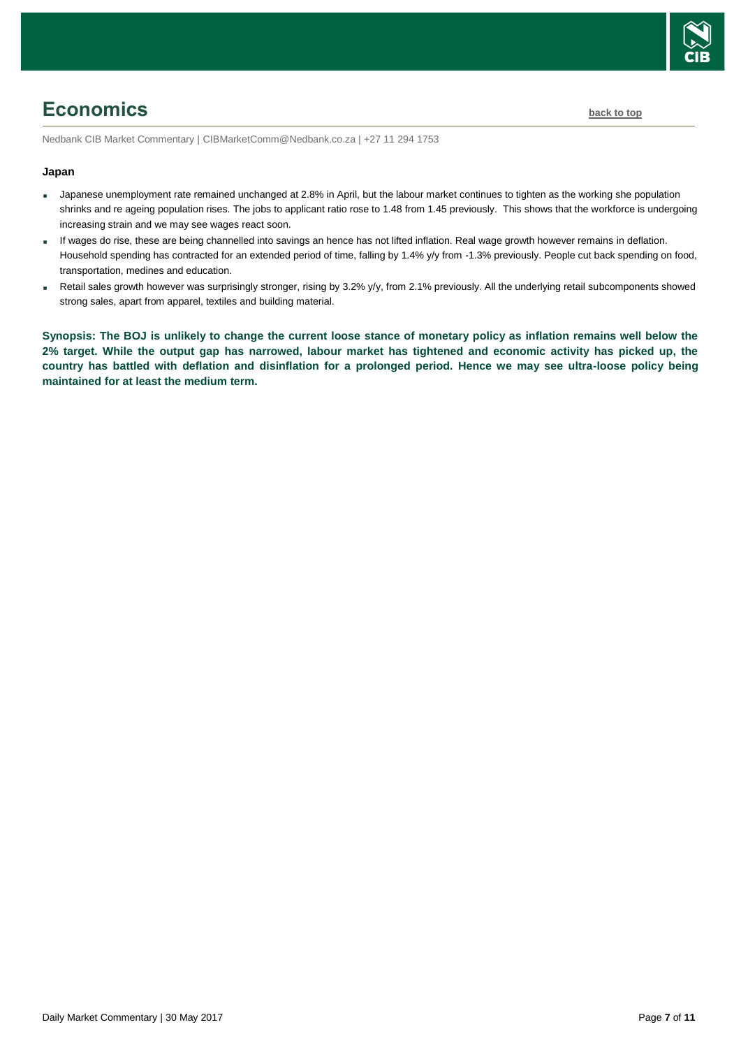

# <span id="page-6-0"></span>**Economics [back to top](#page-0-0)**

Nedbank CIB Market Commentary | CIBMarketComm@Nedbank.co.za | +27 11 294 1753

### **Japan**

- Japanese unemployment rate remained unchanged at 2.8% in April, but the labour market continues to tighten as the working she population shrinks and re ageing population rises. The jobs to applicant ratio rose to 1.48 from 1.45 previously. This shows that the workforce is undergoing increasing strain and we may see wages react soon.
- If wages do rise, these are being channelled into savings an hence has not lifted inflation. Real wage growth however remains in deflation. Household spending has contracted for an extended period of time, falling by 1.4% y/y from -1.3% previously. People cut back spending on food, transportation, medines and education.
- Retail sales growth however was surprisingly stronger, rising by 3.2% y/y, from 2.1% previously. All the underlying retail subcomponents showed strong sales, apart from apparel, textiles and building material.

**Synopsis: The BOJ is unlikely to change the current loose stance of monetary policy as inflation remains well below the 2% target. While the output gap has narrowed, labour market has tightened and economic activity has picked up, the country has battled with deflation and disinflation for a prolonged period. Hence we may see ultra-loose policy being maintained for at least the medium term.**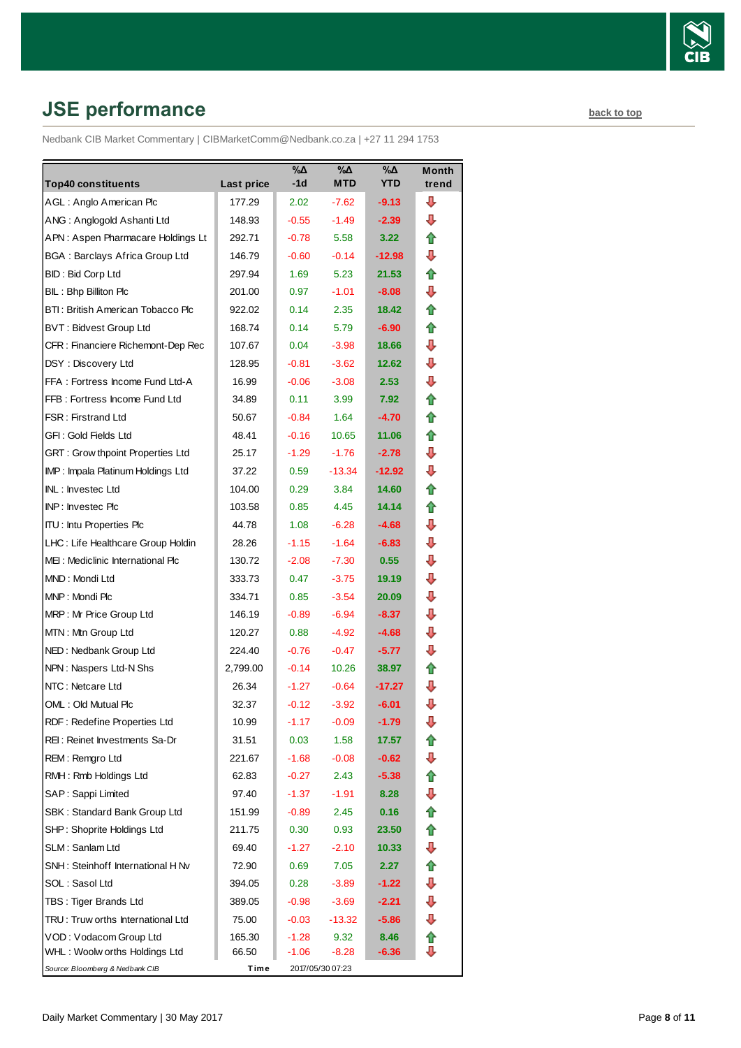

# <span id="page-7-0"></span>**JSE performance [back to top](#page-0-0)**

Nedbank CIB Market Commentary | CIBMarketComm@Nedbank.co.za | +27 11 294 1753

|                                       |            | %Δ      | %Δ               | %Δ                | <b>Month</b> |
|---------------------------------------|------------|---------|------------------|-------------------|--------------|
| <b>Top40 constituents</b>             | Last price | -1d     | MTD              | <b>YTD</b>        | trend        |
| AGL: Anglo American Plc               | 177.29     | 2.02    | $-7.62$          | $-9.13$           | ⊕            |
| ANG: Anglogold Ashanti Ltd            | 148.93     | $-0.55$ | $-1.49$          | $-2.39$           | ⊕            |
| APN: Aspen Pharmacare Holdings Lt     | 292.71     | $-0.78$ | 5.58             | 3.22              | ⇑            |
| <b>BGA: Barclays Africa Group Ltd</b> | 146.79     | $-0.60$ | $-0.14$          | $-12.98$          | ⊕            |
| BID: Bid Corp Ltd                     | 297.94     | 1.69    | 5.23             | 21.53             | ✿            |
| BIL: Bhp Billiton Plc                 | 201.00     | 0.97    | $-1.01$          | $-8.08$           | ⊕            |
| BTI: British American Tobacco Plc     | 922.02     | 0.14    | 2.35             | 18.42             | ⇑            |
| <b>BVT: Bidvest Group Ltd</b>         | 168.74     | 0.14    | 5.79             | $-6.90$           | ✿            |
| CFR : Financiere Richemont-Dep Rec    | 107.67     | 0.04    | $-3.98$          | 18.66             | ⊕            |
| DSY: Discovery Ltd                    | 128.95     | $-0.81$ | $-3.62$          | 12.62             | ⇩            |
| FFA: Fortress Income Fund Ltd-A       | 16.99      | $-0.06$ | $-3.08$          | 2.53 <sup>°</sup> | ⊕            |
| FFB: Fortress Income Fund Ltd         | 34.89      | 0.11    | 3.99             | 7.92              | ⇑            |
| <b>FSR: Firstrand Ltd</b>             | 50.67      | $-0.84$ | 1.64             | $-4.70$           | ✿            |
| GFI: Gold Fields Ltd                  | 48.41      | $-0.16$ | 10.65            | 11.06             | ✿            |
| GRT : Grow thpoint Properties Ltd     | 25.17      | $-1.29$ | $-1.76$          | $-2.78$           | ⇩            |
| IMP: Impala Platinum Holdings Ltd     | 37.22      | 0.59    | $-13.34$         | $-12.92$          | ⇩            |
| INL: Investec Ltd                     | 104.00     | 0.29    | 3.84             | 14.60             | ⇑            |
| INP: Investec Plc                     | 103.58     | 0.85    | 4.45             | 14.14             | ✿            |
| <b>ITU:</b> Intu Properties Plc       | 44.78      | 1.08    | $-6.28$          | -4.68             | ⊕            |
| LHC: Life Healthcare Group Holdin     | 28.26      | $-1.15$ | $-1.64$          | $-6.83$           | ⇩            |
| MEI: Mediclinic International Plc     | 130.72     | $-2.08$ | $-7.30$          | 0.55              | ⊕            |
| MND: Mondi Ltd                        | 333.73     | 0.47    | $-3.75$          | 19.19             | ⇩            |
| MNP: Mondi Plc                        | 334.71     | 0.85    | $-3.54$          | 20.09             | ⇩            |
| MRP: Mr Price Group Ltd               | 146.19     | $-0.89$ | $-6.94$          | $-8.37$           | ⊕            |
| MTN: Mtn Group Ltd                    | 120.27     | 0.88    | $-4.92$          | $-4.68$           | ⇩            |
| NED: Nedbank Group Ltd                | 224.40     | $-0.76$ | $-0.47$          | $-5.77$           | ⊕            |
| NPN: Naspers Ltd-N Shs                | 2,799.00   | $-0.14$ | 10.26            | 38.97             | ⇑            |
| NTC: Netcare Ltd                      | 26.34      | $-1.27$ | $-0.64$          | $-17.27$          | ⇩            |
| OML: Old Mutual Plc                   | 32.37      | $-0.12$ | $-3.92$          | -6.01             | ⇩            |
| RDF: Redefine Properties Ltd          | 10.99      | $-1.17$ | $-0.09$          | -1.79             | ⇩            |
| REI: Reinet Investments Sa-Dr         | 31.51      | 0.03    | 1.58             | 17.57             | €            |
| REM: Remgro Ltd                       | 221.67     | -1.68   | $-0.08$          | $-0.62$           | ⇩            |
| RMH: Rmb Holdings Ltd                 | 62.83      | $-0.27$ | 2.43             | $-5.38$           | ⇮            |
| SAP: Sappi Limited                    | 97.40      | $-1.37$ | -1.91            | 8.28              | ⇩            |
| SBK: Standard Bank Group Ltd          | 151.99     | $-0.89$ | 2.45             | 0.16              | 合            |
| SHP: Shoprite Holdings Ltd            | 211.75     | 0.30    | 0.93             | 23.50             | ⇮            |
| SLM: Sanlam Ltd                       | 69.40      | -1.27   | $-2.10$          | 10.33             | ⇩            |
| SNH: Steinhoff International H Nv     | 72.90      | 0.69    | 7.05             | 2.27              | ⇮            |
| SOL: Sasol Ltd                        | 394.05     | 0.28    | $-3.89$          | $-1.22$           | ⇩            |
| TBS: Tiger Brands Ltd                 | 389.05     | -0.98   | $-3.69$          | $-2.21$           | ⇩            |
| TRU: Truw orths International Ltd     | 75.00      | $-0.03$ | $-13.32$         | $-5.86$           | ⇩            |
| VOD: Vodacom Group Ltd                | 165.30     | $-1.28$ | 9.32             | 8.46              | ⇮            |
| WHL: Woolw orths Holdings Ltd         | 66.50      | $-1.06$ | -8.28            | -6.36             | J            |
| Source: Bloomberg & Nedbank CIB       | Time       |         | 2017/05/30 07:23 |                   |              |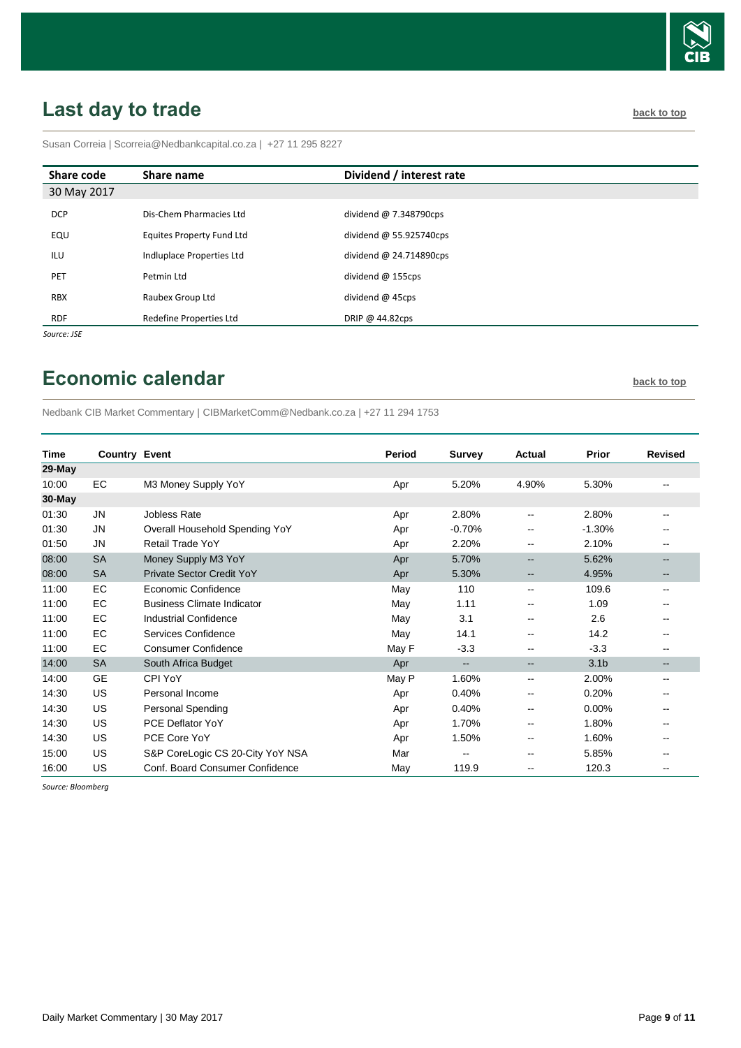

# <span id="page-8-0"></span>Last day to trade **back** to top and the set of the set of the set of the set of the set of the set of the set of the set of the set of the set of the set of the set of the set of the set of the set of the set of the set of

Susan Correia [| Scorreia@Nedbankcapital.co.za](mailto:Scorreia@Nedbankcapital.co.za) | +27 11 295 8227

| Share code  | Share name                       | Dividend / interest rate      |
|-------------|----------------------------------|-------------------------------|
| 30 May 2017 |                                  |                               |
| <b>DCP</b>  | Dis-Chem Pharmacies Ltd          | dividend $\omega$ 7.348790cps |
| EQU         | <b>Equites Property Fund Ltd</b> | dividend $@$ 55.925740cps     |
| ILU         | Indluplace Properties Ltd        | dividend $@$ 24.714890cps     |
| PET         | Petmin Ltd                       | dividend $@$ 155cps           |
| <b>RBX</b>  | Raubex Group Ltd                 | dividend $@$ 45cps            |
| RDF         | Redefine Properties Ltd          | DRIP @ $44.82$ cps            |
| Source: JSE |                                  |                               |

## <span id="page-8-1"></span>**Economic calendar [back to top](#page-0-0) back to top**

Nedbank CIB Market Commentary | CIBMarketComm@Nedbank.co.za | +27 11 294 1753

| <b>Time</b> | <b>Country Event</b> |                                   | Period | <b>Survey</b>            | Actual                   | <b>Prior</b>     | <b>Revised</b> |
|-------------|----------------------|-----------------------------------|--------|--------------------------|--------------------------|------------------|----------------|
| 29-May      |                      |                                   |        |                          |                          |                  |                |
| 10:00       | <b>EC</b>            | M3 Money Supply YoY               | Apr    | 5.20%                    | 4.90%                    | 5.30%            |                |
| 30-May      |                      |                                   |        |                          |                          |                  |                |
| 01:30       | <b>JN</b>            | Jobless Rate                      | Apr    | 2.80%                    | $\mathbf{u}$             | 2.80%            |                |
| 01:30       | JN                   | Overall Household Spending YoY    | Apr    | $-0.70%$                 | $\mathbf{u}$             | $-1.30%$         |                |
| 01:50       | <b>JN</b>            | Retail Trade YoY                  | Apr    | 2.20%                    | $\sim$ $\sim$            | 2.10%            |                |
| 08:00       | <b>SA</b>            | Money Supply M3 YoY               | Apr    | 5.70%                    | $\overline{\phantom{m}}$ | 5.62%            |                |
| 08:00       | <b>SA</b>            | Private Sector Credit YoY         | Apr    | 5.30%                    | $\overline{\phantom{m}}$ | 4.95%            |                |
| 11:00       | EC                   | Economic Confidence               | May    | 110                      | $\sim$                   | 109.6            | $-$            |
| 11:00       | <b>EC</b>            | <b>Business Climate Indicator</b> | May    | 1.11                     | $\sim$ $\sim$            | 1.09             |                |
| 11:00       | <b>EC</b>            | <b>Industrial Confidence</b>      | May    | 3.1                      | --                       | 2.6              |                |
| 11:00       | <b>EC</b>            | Services Confidence               | May    | 14.1                     | $\overline{\phantom{m}}$ | 14.2             |                |
| 11:00       | EC                   | <b>Consumer Confidence</b>        | May F  | $-3.3$                   | $\sim$ $\sim$            | $-3.3$           |                |
| 14:00       | <b>SA</b>            | South Africa Budget               | Apr    | $\overline{\phantom{a}}$ | $\overline{\phantom{a}}$ | 3.1 <sub>b</sub> |                |
| 14:00       | <b>GE</b>            | CPI YoY                           | May P  | 1.60%                    | $\overline{\phantom{a}}$ | 2.00%            |                |
| 14:30       | US                   | Personal Income                   | Apr    | 0.40%                    | $\overline{\phantom{m}}$ | 0.20%            |                |
| 14:30       | US                   | <b>Personal Spending</b>          | Apr    | 0.40%                    | $\sim$ $\sim$            | 0.00%            |                |
| 14:30       | <b>US</b>            | <b>PCE Deflator YoY</b>           | Apr    | 1.70%                    | $\sim$ $\sim$            | 1.80%            |                |
| 14:30       | <b>US</b>            | PCE Core YoY                      | Apr    | 1.50%                    | --                       | 1.60%            |                |
| 15:00       | US                   | S&P CoreLogic CS 20-City YoY NSA  | Mar    | $\overline{\phantom{a}}$ | $\sim$ $\sim$            | 5.85%            |                |
| 16:00       | US                   | Conf. Board Consumer Confidence   | May    | 119.9                    | $\sim$ $\sim$            | 120.3            |                |

 *Source: Bloomberg*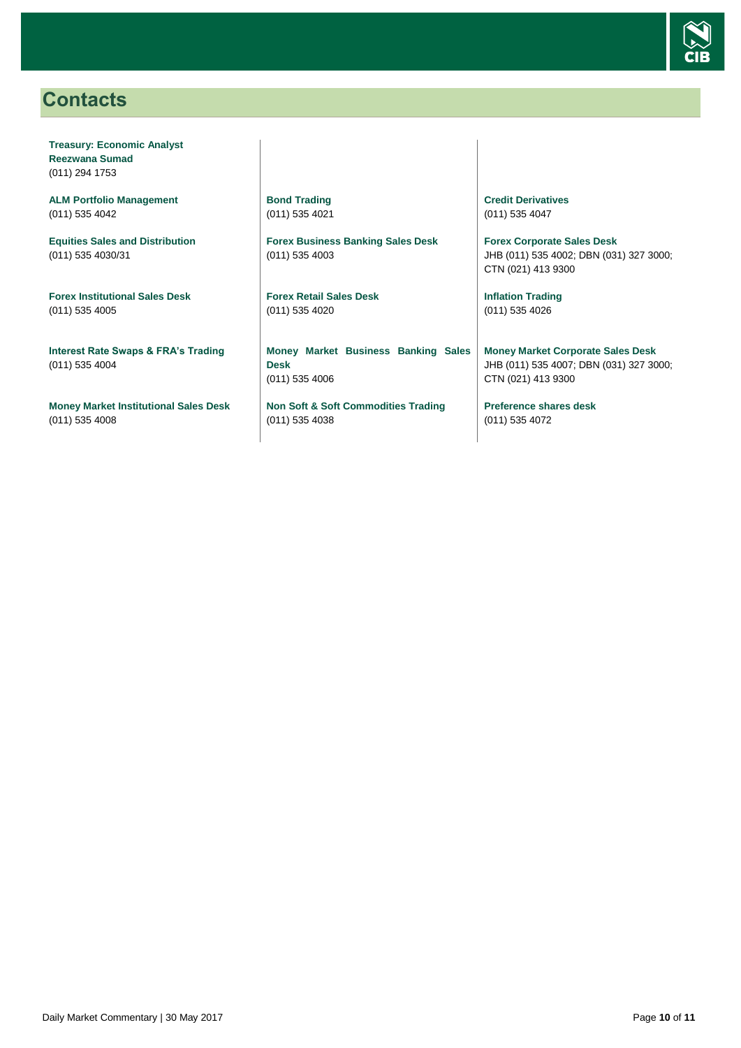

## <span id="page-9-0"></span>**Contacts**

**Treasury: Economic Analyst Reezwana Sumad** (011) 294 1753

**ALM Portfolio Management** (011) 535 4042

**Equities Sales and Distribution** (011) 535 4030/31

**Forex Institutional Sales Desk** (011) 535 4005

**Interest Rate Swaps & FRA's Trading** (011) 535 4004

**Money Market Institutional Sales Desk** (011) 535 4008

**Bond Trading** (011) 535 4021

**Forex Business Banking Sales Desk** (011) 535 4003

**Forex Retail Sales Desk** (011) 535 4020

**Money Market Business Banking Sales Desk** (011) 535 4006

**Non Soft & Soft Commodities Trading** (011) 535 4038

**Credit Derivatives**  (011) 535 4047

**Forex Corporate Sales Desk** JHB (011) 535 4002; DBN (031) 327 3000; CTN (021) 413 9300

**Inflation Trading** (011) 535 4026

**Money Market Corporate Sales Desk** JHB (011) 535 4007; DBN (031) 327 3000; CTN (021) 413 9300

**Preference shares desk** (011) 535 4072